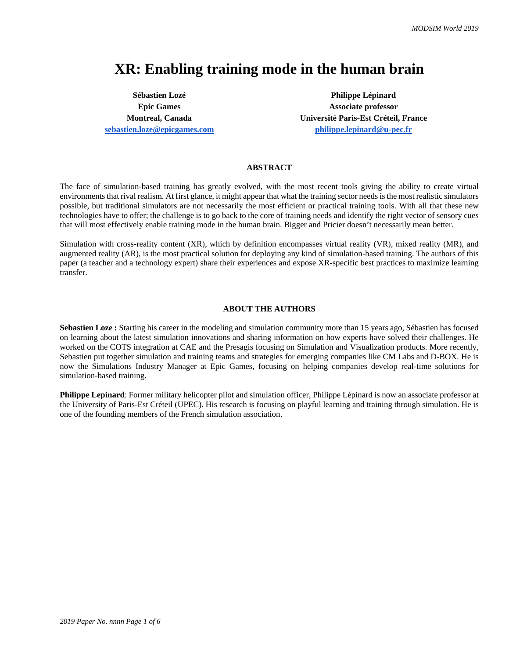# **XR: Enabling training mode in the human brain**

**Sébastien Lozé Epic Games [sebastien.loze@epicgames.com](mailto:sebastien.loze@epicgames.com)** 

**Philippe Lépinard Epic Games Associate professor Montreal, Canada Université Paris-Est Créteil, France [philippe.lepinard@u-pec.fr](mailto:philippe.lepinard@u-pec.fr)**

### **ABSTRACT**

The face of simulation-based training has greatly evolved, with the most recent tools giving the ability to create virtual environments that rival realism. At first glance, it might appear that what the training sector needs is the most realistic simulators possible, but traditional simulators are not necessarily the most efficient or practical training tools. With all that these new technologies have to offer; the challenge is to go back to the core of training needs and identify the right vector of sensory cues that will most effectively enable training mode in the human brain. Bigger and Pricier doesn't necessarily mean better.

Simulation with cross-reality content (XR), which by definition encompasses virtual reality (VR), mixed reality (MR), and augmented reality (AR), is the most practical solution for deploying any kind of simulation-based training. The authors of this paper (a teacher and a technology expert) share their experiences and expose XR-specific best practices to maximize learning transfer.

#### **ABOUT THE AUTHORS**

**Sebastien Loze :** Starting his career in the modeling and simulation community more than 15 years ago, Sébastien has focused on learning about the latest simulation innovations and sharing information on how experts have solved their challenges. He worked on the COTS integration at CAE and the Presagis focusing on Simulation and Visualization products. More recently, Sebastien put together simulation and training teams and strategies for emerging companies like CM Labs and D-BOX. He is now the Simulations Industry Manager at Epic Games, focusing on helping companies develop real-time solutions for simulation-based training.

**Philippe Lepinard**: Former military helicopter pilot and simulation officer, Philippe Lépinard is now an associate professor at the University of Paris-Est Créteil (UPEC). His research is focusing on playful learning and training through simulation. He is one of the founding members of the French simulation association.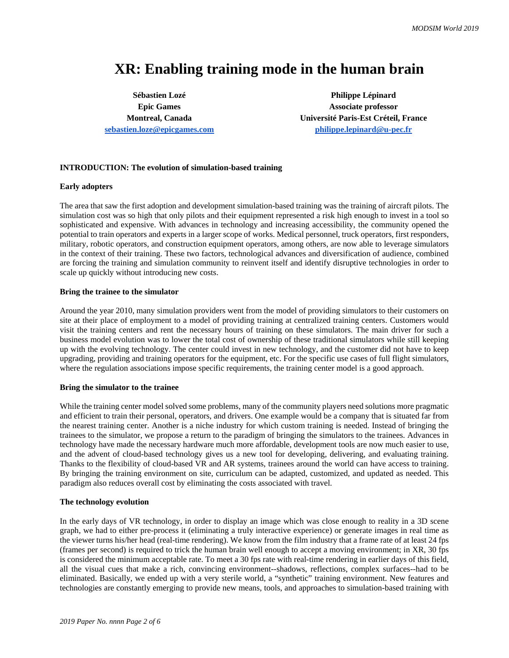# **XR: Enabling training mode in the human brain**

**Sébastien Lozé Epic Games [sebastien.loze@epicgames.com](mailto:sebastien.loze@epicgames.com)** 

**Philippe Lépinard Epic Games Associate professor Montreal, Canada Université Paris-Est Créteil, France [philippe.lepinard@u-pec.fr](mailto:philippe.lepinard@u-pec.fr)**

## **INTRODUCTION: The evolution of simulation-based training**

#### **Early adopters**

The area that saw the first adoption and development simulation-based training was the training of aircraft pilots. The simulation cost was so high that only pilots and their equipment represented a risk high enough to invest in a tool so sophisticated and expensive. With advances in technology and increasing accessibility, the community opened the potential to train operators and experts in a larger scope of works. Medical personnel, truck operators, first responders, military, robotic operators, and construction equipment operators, among others, are now able to leverage simulators in the context of their training. These two factors, technological advances and diversification of audience, combined are forcing the training and simulation community to reinvent itself and identify disruptive technologies in order to scale up quickly without introducing new costs.

#### **Bring the trainee to the simulator**

Around the year 2010, many simulation providers went from the model of providing simulators to their customers on site at their place of employment to a model of providing training at centralized training centers. Customers would visit the training centers and rent the necessary hours of training on these simulators. The main driver for such a business model evolution was to lower the total cost of ownership of these traditional simulators while still keeping up with the evolving technology. The center could invest in new technology, and the customer did not have to keep upgrading, providing and training operators for the equipment, etc. For the specific use cases of full flight simulators, where the regulation associations impose specific requirements, the training center model is a good approach.

#### **Bring the simulator to the trainee**

While the training center model solved some problems, many of the community players need solutions more pragmatic and efficient to train their personal, operators, and drivers. One example would be a company that is situated far from the nearest training center. Another is a niche industry for which custom training is needed. Instead of bringing the trainees to the simulator, we propose a return to the paradigm of bringing the simulators to the trainees. Advances in technology have made the necessary hardware much more affordable, development tools are now much easier to use, and the advent of cloud-based technology gives us a new tool for developing, delivering, and evaluating training. Thanks to the flexibility of cloud-based VR and AR systems, trainees around the world can have access to training. By bringing the training environment on site, curriculum can be adapted, customized, and updated as needed. This paradigm also reduces overall cost by eliminating the costs associated with travel.

#### **The technology evolution**

In the early days of VR technology, in order to display an image which was close enough to reality in a 3D scene graph, we had to either pre-process it (eliminating a truly interactive experience) or generate images in real time as the viewer turns his/her head (real-time rendering). We know from the film industry that a frame rate of at least 24 fps (frames per second) is required to trick the human brain well enough to accept a moving environment; in XR, 30 fps is considered the minimum acceptable rate. To meet a 30 fps rate with real-time rendering in earlier days of this field, all the visual cues that make a rich, convincing environment--shadows, reflections, complex surfaces--had to be eliminated. Basically, we ended up with a very sterile world, a "synthetic" training environment. New features and technologies are constantly emerging to provide new means, tools, and approaches to simulation-based training with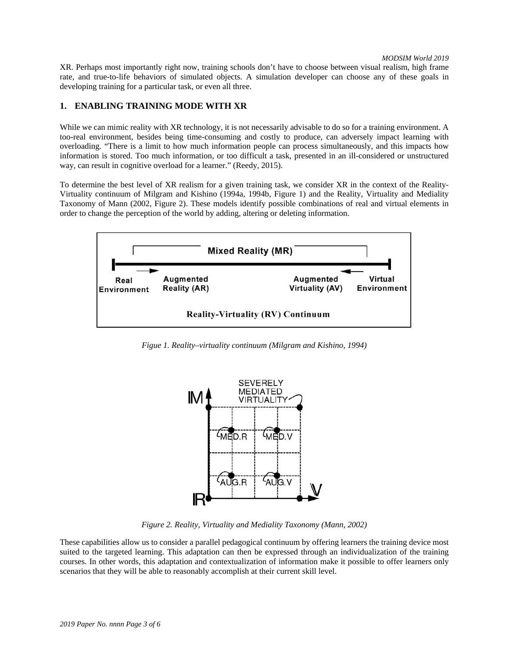*MODSIM World 2019*

XR. Perhaps most importantly right now, training schools don't have to choose between visual realism, high frame rate, and true-to-life behaviors of simulated objects. A simulation developer can choose any of these goals in developing training for a particular task, or even all three.

# **1. ENABLING TRAINING MODE WITH XR**

While we can mimic reality with XR technology, it is not necessarily advisable to do so for a training environment. A too-real environment, besides being time-consuming and costly to produce, can adversely impact learning with overloading. "There is a limit to how much information people can process simultaneously, and this impacts how information is stored. Too much information, or too difficult a task, presented in an ill-considered or unstructured way, can result in cognitive overload for a learner." (Reedy, 2015).

To determine the best level of XR realism for a given training task, we consider XR in the context of the Reality-Virtuality continuum of Milgram and Kishino (1994a, 1994b, Figure 1) and the Reality, Virtuality and Mediality Taxonomy of Mann (2002, Figure 2). These models identify possible combinations of real and virtual elements in order to change the perception of the world by adding, altering or deleting information.



*Figue 1. Reality–virtuality continuum (Milgram and Kishino, 1994)*



*Figure 2. Reality, Virtuality and Mediality Taxonomy (Mann, 2002)*

These capabilities allow us to consider a parallel pedagogical continuum by offering learners the training device most suited to the targeted learning. This adaptation can then be expressed through an individualization of the training courses. In other words, this adaptation and contextualization of information make it possible to offer learners only scenarios that they will be able to reasonably accomplish at their current skill level.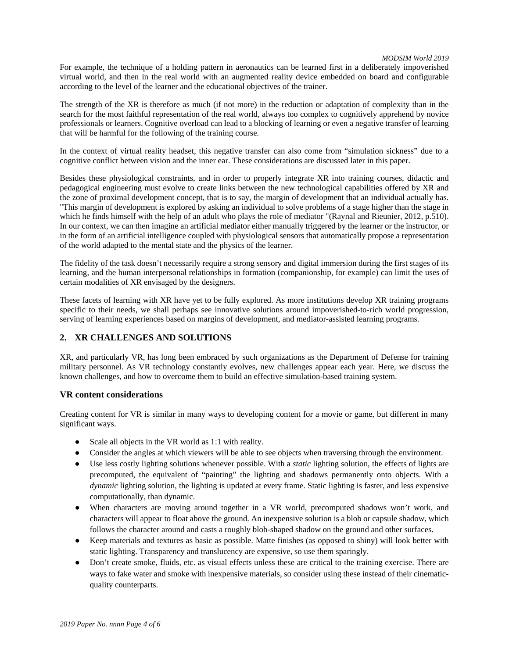#### *MODSIM World 2019*

For example, the technique of a holding pattern in aeronautics can be learned first in a deliberately impoverished virtual world, and then in the real world with an augmented reality device embedded on board and configurable according to the level of the learner and the educational objectives of the trainer.

The strength of the XR is therefore as much (if not more) in the reduction or adaptation of complexity than in the search for the most faithful representation of the real world, always too complex to cognitively apprehend by novice professionals or learners. Cognitive overload can lead to a blocking of learning or even a negative transfer of learning that will be harmful for the following of the training course.

In the context of virtual reality headset, this negative transfer can also come from "simulation sickness" due to a cognitive conflict between vision and the inner ear. These considerations are discussed later in this paper.

Besides these physiological constraints, and in order to properly integrate XR into training courses, didactic and pedagogical engineering must evolve to create links between the new technological capabilities offered by XR and the zone of proximal development concept, that is to say, the margin of development that an individual actually has. "This margin of development is explored by asking an individual to solve problems of a stage higher than the stage in which he finds himself with the help of an adult who plays the role of mediator "(Raynal and Rieunier, 2012, p.510). In our context, we can then imagine an artificial mediator either manually triggered by the learner or the instructor, or in the form of an artificial intelligence coupled with physiological sensors that automatically propose a representation of the world adapted to the mental state and the physics of the learner.

The fidelity of the task doesn't necessarily require a strong sensory and digital immersion during the first stages of its learning, and the human interpersonal relationships in formation (companionship, for example) can limit the uses of certain modalities of XR envisaged by the designers.

These facets of learning with XR have yet to be fully explored. As more institutions develop XR training programs specific to their needs, we shall perhaps see innovative solutions around impoverished-to-rich world progression, serving of learning experiences based on margins of development, and mediator-assisted learning programs.

# **2. XR CHALLENGES AND SOLUTIONS**

XR, and particularly VR, has long been embraced by such organizations as the Department of Defense for training military personnel. As VR technology constantly evolves, new challenges appear each year. Here, we discuss the known challenges, and how to overcome them to build an effective simulation-based training system.

## **VR content considerations**

Creating content for VR is similar in many ways to developing content for a movie or game, but different in many significant ways.

- Scale all objects in the VR world as 1:1 with reality.
- Consider the angles at which viewers will be able to see objects when traversing through the environment.
- Use less costly lighting solutions whenever possible. With a *static* lighting solution, the effects of lights are precomputed, the equivalent of "painting" the lighting and shadows permanently onto objects. With a *dynamic* lighting solution, the lighting is updated at every frame. Static lighting is faster, and less expensive computationally, than dynamic.
- When characters are moving around together in a VR world, precomputed shadows won't work, and characters will appear to float above the ground. An inexpensive solution is a blob or capsule shadow, which follows the character around and casts a roughly blob-shaped shadow on the ground and other surfaces.
- Keep materials and textures as basic as possible. Matte finishes (as opposed to shiny) will look better with static lighting. Transparency and translucency are expensive, so use them sparingly.
- Don't create smoke, fluids, etc. as visual effects unless these are critical to the training exercise. There are ways to fake water and smoke with inexpensive materials, so consider using these instead of their cinematicquality counterparts.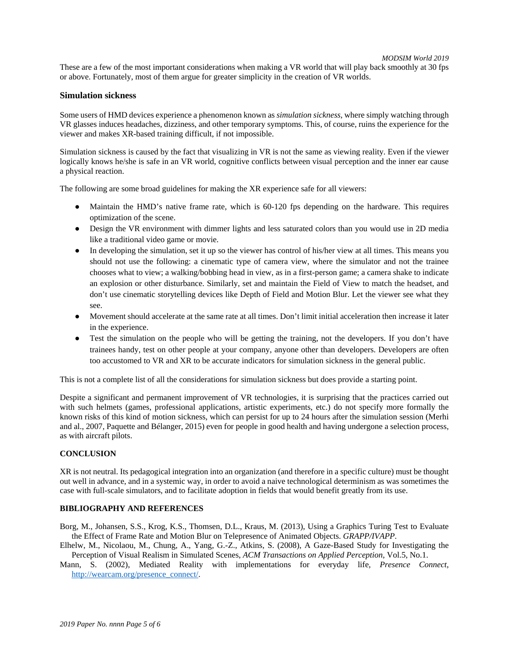These are a few of the most important considerations when making a VR world that will play back smoothly at 30 fps or above. Fortunately, most of them argue for greater simplicity in the creation of VR worlds.

#### **Simulation sickness**

Some users of HMD devices experience a phenomenon known as *simulation sickness*, where simply watching through VR glasses induces headaches, dizziness, and other temporary symptoms. This, of course, ruins the experience for the viewer and makes XR-based training difficult, if not impossible.

Simulation sickness is caused by the fact that visualizing in VR is not the same as viewing reality. Even if the viewer logically knows he/she is safe in an VR world, cognitive conflicts between visual perception and the inner ear cause a physical reaction.

The following are some broad guidelines for making the XR experience safe for all viewers:

- Maintain the HMD's native frame rate, which is 60-120 fps depending on the hardware. This requires optimization of the scene.
- Design the VR environment with dimmer lights and less saturated colors than you would use in 2D media like a traditional video game or movie.
- In developing the simulation, set it up so the viewer has control of his/her view at all times. This means you should not use the following: a cinematic type of camera view, where the simulator and not the trainee chooses what to view; a walking/bobbing head in view, as in a first-person game; a camera shake to indicate an explosion or other disturbance. Similarly, set and maintain the Field of View to match the headset, and don't use cinematic storytelling devices like Depth of Field and Motion Blur. Let the viewer see what they see.
- Movement should accelerate at the same rate at all times. Don't limit initial acceleration then increase it later in the experience.
- Test the simulation on the people who will be getting the training, not the developers. If you don't have trainees handy, test on other people at your company, anyone other than developers. Developers are often too accustomed to VR and XR to be accurate indicators for simulation sickness in the general public.

This is not a complete list of all the considerations for simulation sickness but does provide a starting point.

Despite a significant and permanent improvement of VR technologies, it is surprising that the practices carried out with such helmets (games, professional applications, artistic experiments, etc.) do not specify more formally the known risks of this kind of motion sickness, which can persist for up to 24 hours after the simulation session (Merhi and al., 2007, Paquette and Bélanger, 2015) even for people in good health and having undergone a selection process, as with aircraft pilots.

### **CONCLUSION**

XR is not neutral. Its pedagogical integration into an organization (and therefore in a specific culture) must be thought out well in advance, and in a systemic way, in order to avoid a naive technological determinism as was sometimes the case with full-scale simulators, and to facilitate adoption in fields that would benefit greatly from its use.

#### **BIBLIOGRAPHY AND REFERENCES**

Borg, M., Johansen, S.S., Krog, K.S., Thomsen, D.L., Kraus, M. (2013), Using a Graphics Turing Test to Evaluate the Effect of Frame Rate and Motion Blur on Telepresence of Animated Objects. *GRAPP/IVAPP*.

- Elhelw, M., Nicolaou, M., Chung, A., Yang, G.-Z., Atkins, S. (2008), A Gaze-Based Study for Investigating the Perception of Visual Realism in Simulated Scenes, *ACM Transactions on Applied Perception*, Vol.5, No.1.
- Mann, S. (2002), Mediated Reality with implementations for everyday life, *Presence Connect*, [http://wearcam.org/presence\\_connect/.](http://wearcam.org/presence_connect/)